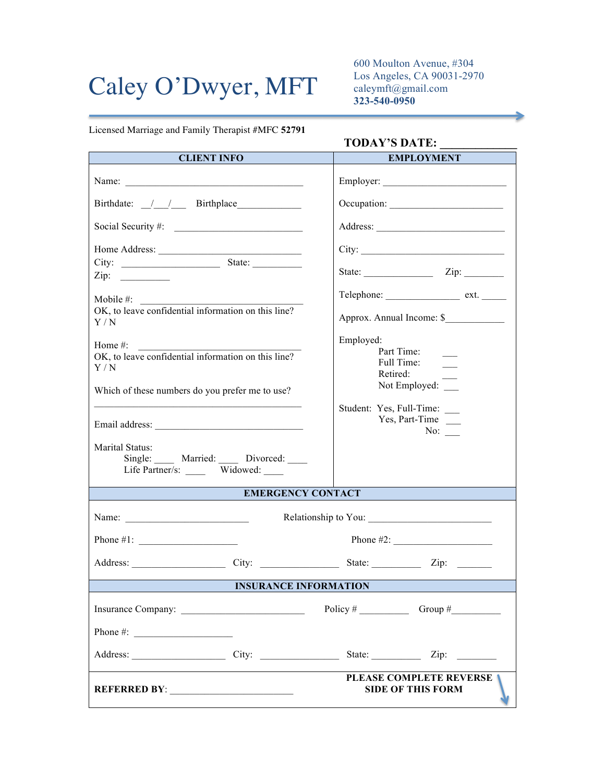## Caley O'Dwyer, MFT

600 Moulton Avenue, #304 Los Angeles, CA 90031-2970 caleymft@gmail.com **323-540-0950**

Licensed Marriage and Family Therapist #MFC **52791**

## **TODAY'S DATE: \_\_\_\_\_\_\_\_\_\_\_\_\_**

| <b>CLIENT INFO</b>                                                                                                                                                                                                             | <b>EMPLOYMENT</b>                                                                                                                                                    |  |  |  |
|--------------------------------------------------------------------------------------------------------------------------------------------------------------------------------------------------------------------------------|----------------------------------------------------------------------------------------------------------------------------------------------------------------------|--|--|--|
|                                                                                                                                                                                                                                |                                                                                                                                                                      |  |  |  |
| Birthdate: <u>/ / Birthplace</u>                                                                                                                                                                                               |                                                                                                                                                                      |  |  |  |
| Social Security #:                                                                                                                                                                                                             |                                                                                                                                                                      |  |  |  |
|                                                                                                                                                                                                                                | City:                                                                                                                                                                |  |  |  |
|                                                                                                                                                                                                                                | State: <u>Zip:</u> Zip:                                                                                                                                              |  |  |  |
| Mobile #:                                                                                                                                                                                                                      |                                                                                                                                                                      |  |  |  |
| OK, to leave confidential information on this line?<br>Y/N                                                                                                                                                                     | Approx. Annual Income: \$<br>Employed:<br>Part Time:<br>Full Time:<br>Retired:<br>Not Employed: ____<br>Student: Yes, Full-Time: ___<br>Yes, Part-Time<br>No: $\_\_$ |  |  |  |
| Home $#$ :<br>OK, to leave confidential information on this line?<br>Y/N<br>Which of these numbers do you prefer me to use?                                                                                                    |                                                                                                                                                                      |  |  |  |
|                                                                                                                                                                                                                                |                                                                                                                                                                      |  |  |  |
| Marital Status:<br>Single: Married: Divorced:<br>Life Partner/s: Widowed:                                                                                                                                                      |                                                                                                                                                                      |  |  |  |
| <b>EMERGENCY CONTACT</b>                                                                                                                                                                                                       |                                                                                                                                                                      |  |  |  |
|                                                                                                                                                                                                                                |                                                                                                                                                                      |  |  |  |
|                                                                                                                                                                                                                                |                                                                                                                                                                      |  |  |  |
| Address: City: City: State: City: City: City: City: City: City: City: City: City: City: City: City: City: City: City: City: City: City: City: City: City: City: City: City: City: City: City: City: City: City: City: City: Ci |                                                                                                                                                                      |  |  |  |
| <b>INSURANCE INFORMATION</b>                                                                                                                                                                                                   |                                                                                                                                                                      |  |  |  |
|                                                                                                                                                                                                                                | Policy # Group # Group #                                                                                                                                             |  |  |  |
| Phone #: $\frac{1}{2}$                                                                                                                                                                                                         |                                                                                                                                                                      |  |  |  |
| Address: City: City:                                                                                                                                                                                                           | State: <u>Zip:</u> Zip:                                                                                                                                              |  |  |  |
| <b>REFERRED BY:</b> _______________________                                                                                                                                                                                    | <b>PLEASE COMPLETE REVERSE</b><br><b>SIDE OF THIS FORM</b>                                                                                                           |  |  |  |